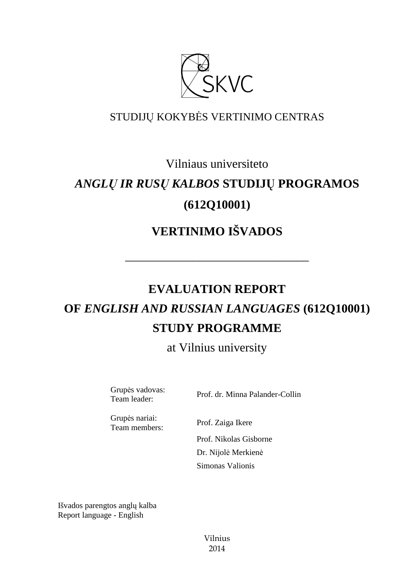

## STUDIJŲ KOKYBĖS VERTINIMO CENTRAS

## Vilniaus universiteto

# *ANGLŲ IR RUSŲ KALBOS* **STUDIJŲ PROGRAMOS (612Q10001)**

# **VERTINIMO IŠVADOS**

––––––––––––––––––––––––––––––

# **EVALUATION REPORT OF** *ENGLISH AND RUSSIAN LANGUAGES* **(612Q10001) STUDY PROGRAMME**

at Vilnius university

Grupės vadovas:<br>Team leader:

Prof. dr. Minna Palander-Collin

Grupės nariai: Team members: Prof. Zaiga Ikere

 Prof. Nikolas Gisborne Dr. Nijolė Merkienė Simonas Valionis

Išvados parengtos anglų kalba Report language - English

> Vilnius 2014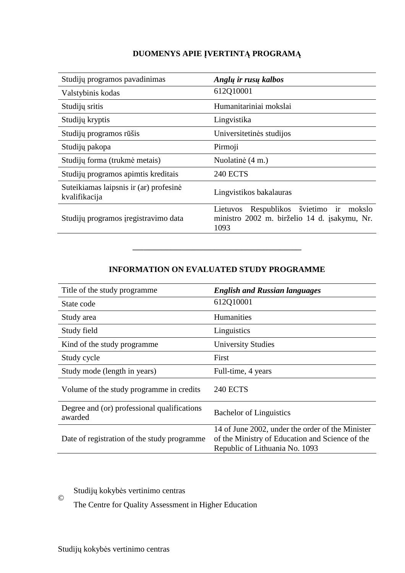#### **DUOMENYS APIE ĮVERTINTĄ PROGRAMĄ**

| Studijų programos pavadinimas                           | Anglų ir rusų kalbos                                                                                        |
|---------------------------------------------------------|-------------------------------------------------------------------------------------------------------------|
| Valstybinis kodas                                       | 612Q10001                                                                                                   |
| Studijų sritis                                          | Humanitariniai mokslai                                                                                      |
| Studijų kryptis                                         | Lingvistika                                                                                                 |
| Studijų programos rūšis                                 | Universitetinės studijos                                                                                    |
| Studijų pakopa                                          | Pirmoji                                                                                                     |
| Studijų forma (trukmė metais)                           | Nuolatinė (4 m.)                                                                                            |
| Studijų programos apimtis kreditais                     | <b>240 ECTS</b>                                                                                             |
| Suteikiamas laipsnis ir (ar) profesinė<br>kvalifikacija | Lingvistikos bakalauras                                                                                     |
| Studijų programos įregistravimo data                    | švietimo<br>ir<br>Respublikos<br>mokslo<br>Lietuvos<br>ministro 2002 m. birželio 14 d. įsakymu, Nr.<br>1093 |

#### **INFORMATION ON EVALUATED STUDY PROGRAMME**

–––––––––––––––––––––––––––––––

| Title of the study programme.                          | <b>English and Russian languages</b>                                                                                                  |
|--------------------------------------------------------|---------------------------------------------------------------------------------------------------------------------------------------|
| State code                                             | 612Q10001                                                                                                                             |
| Study area                                             | <b>Humanities</b>                                                                                                                     |
| Study field                                            | Linguistics                                                                                                                           |
| Kind of the study programme                            | <b>University Studies</b>                                                                                                             |
| Study cycle                                            | First                                                                                                                                 |
| Study mode (length in years)                           | Full-time, 4 years                                                                                                                    |
| Volume of the study programme in credits               | <b>240 ECTS</b>                                                                                                                       |
| Degree and (or) professional qualifications<br>awarded | <b>Bachelor of Linguistics</b>                                                                                                        |
| Date of registration of the study programme            | 14 of June 2002, under the order of the Minister<br>of the Ministry of Education and Science of the<br>Republic of Lithuania No. 1093 |

Studijų kokybės vertinimo centras ©

The Centre for Quality Assessment in Higher Education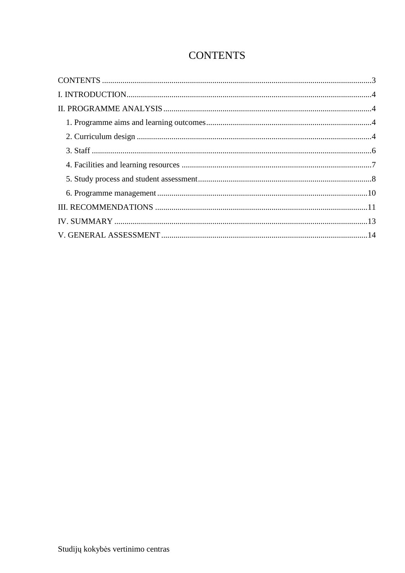### **CONTENTS**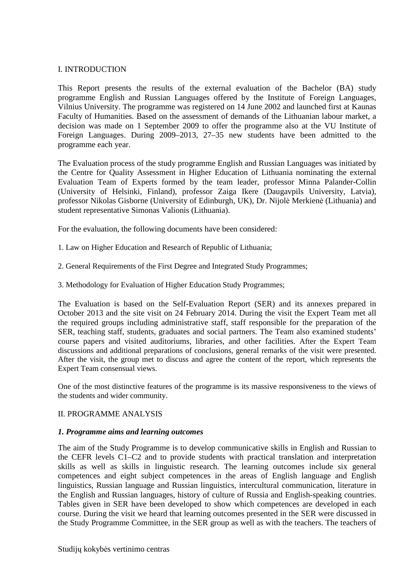#### I. INTRODUCTION

This Report presents the results of the external evaluation of the Bachelor (BA) study programme English and Russian Languages offered by the Institute of Foreign Languages, Vilnius University. The programme was registered on 14 June 2002 and launched first at Kaunas Faculty of Humanities. Based on the assessment of demands of the Lithuanian labour market, a decision was made on 1 September 2009 to offer the programme also at the VU Institute of Foreign Languages. During 2009–2013, 27–35 new students have been admitted to the programme each year.

The Evaluation process of the study programme English and Russian Languages was initiated by the Centre for Quality Assessment in Higher Education of Lithuania nominating the external Evaluation Team of Experts formed by the team leader, professor Minna Palander-Collin (University of Helsinki, Finland), professor Zaiga Ikere (Daugavpils University, Latvia), professor Nikolas Gisborne (University of Edinburgh, UK), Dr. Nijolė Merkienė (Lithuania) and student representative Simonas Valionis (Lithuania).

For the evaluation, the following documents have been considered:

- 1. Law on Higher Education and Research of Republic of Lithuania;
- 2. General Requirements of the First Degree and Integrated Study Programmes;
- 3. Methodology for Evaluation of Higher Education Study Programmes;

The Evaluation is based on the Self-Evaluation Report (SER) and its annexes prepared in October 2013 and the site visit on 24 February 2014. During the visit the Expert Team met all the required groups including administrative staff, staff responsible for the preparation of the SER, teaching staff, students, graduates and social partners. The Team also examined students' course papers and visited auditoriums, libraries, and other facilities. After the Expert Team discussions and additional preparations of conclusions, general remarks of the visit were presented. After the visit, the group met to discuss and agree the content of the report, which represents the Expert Team consensual views.

One of the most distinctive features of the programme is its massive responsiveness to the views of the students and wider community.

#### II. PROGRAMME ANALYSIS

#### *1. Programme aims and learning outcomes*

The aim of the Study Programme is to develop communicative skills in English and Russian to the CEFR levels C1–C2 and to provide students with practical translation and interpretation skills as well as skills in linguistic research. The learning outcomes include six general competences and eight subject competences in the areas of English language and English linguistics, Russian language and Russian linguistics, intercultural communication, literature in the English and Russian languages, history of culture of Russia and English-speaking countries. Tables given in SER have been developed to show which competences are developed in each course. During the visit we heard that learning outcomes presented in the SER were discussed in the Study Programme Committee, in the SER group as well as with the teachers. The teachers of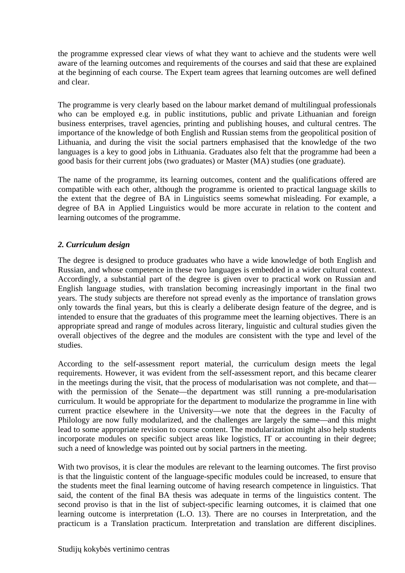the programme expressed clear views of what they want to achieve and the students were well aware of the learning outcomes and requirements of the courses and said that these are explained at the beginning of each course. The Expert team agrees that learning outcomes are well defined and clear.

The programme is very clearly based on the labour market demand of multilingual professionals who can be employed e.g. in public institutions, public and private Lithuanian and foreign business enterprises, travel agencies, printing and publishing houses, and cultural centres. The importance of the knowledge of both English and Russian stems from the geopolitical position of Lithuania, and during the visit the social partners emphasised that the knowledge of the two languages is a key to good jobs in Lithuania. Graduates also felt that the programme had been a good basis for their current jobs (two graduates) or Master (MA) studies (one graduate).

The name of the programme, its learning outcomes, content and the qualifications offered are compatible with each other, although the programme is oriented to practical language skills to the extent that the degree of BA in Linguistics seems somewhat misleading. For example, a degree of BA in Applied Linguistics would be more accurate in relation to the content and learning outcomes of the programme.

#### *2. Curriculum design*

The degree is designed to produce graduates who have a wide knowledge of both English and Russian, and whose competence in these two languages is embedded in a wider cultural context. Accordingly, a substantial part of the degree is given over to practical work on Russian and English language studies, with translation becoming increasingly important in the final two years. The study subjects are therefore not spread evenly as the importance of translation grows only towards the final years, but this is clearly a deliberate design feature of the degree, and is intended to ensure that the graduates of this programme meet the learning objectives. There is an appropriate spread and range of modules across literary, linguistic and cultural studies given the overall objectives of the degree and the modules are consistent with the type and level of the studies.

According to the self-assessment report material, the curriculum design meets the legal requirements. However, it was evident from the self-assessment report, and this became clearer in the meetings during the visit, that the process of modularisation was not complete, and that with the permission of the Senate—the department was still running a pre-modularisation curriculum. It would be appropriate for the department to modularize the programme in line with current practice elsewhere in the University—we note that the degrees in the Faculty of Philology are now fully modularized, and the challenges are largely the same—and this might lead to some appropriate revision to course content. The modularization might also help students incorporate modules on specific subject areas like logistics, IT or accounting in their degree; such a need of knowledge was pointed out by social partners in the meeting.

With two provisos, it is clear the modules are relevant to the learning outcomes. The first proviso is that the linguistic content of the language-specific modules could be increased, to ensure that the students meet the final learning outcome of having research competence in linguistics. That said, the content of the final BA thesis was adequate in terms of the linguistics content. The second proviso is that in the list of subject-specific learning outcomes, it is claimed that one learning outcome is interpretation (L.O. 13). There are no courses in Interpretation, and the practicum is a Translation practicum. Interpretation and translation are different disciplines.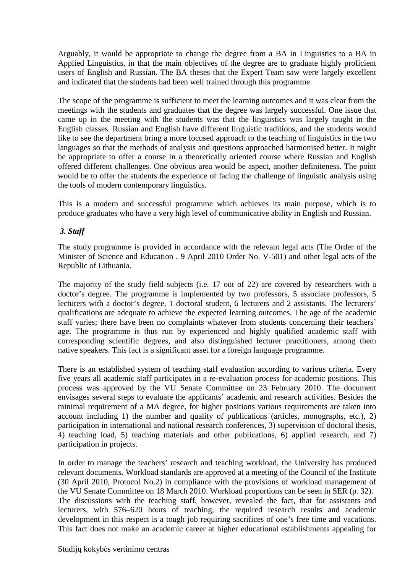Arguably, it would be appropriate to change the degree from a BA in Linguistics to a BA in Applied Linguistics, in that the main objectives of the degree are to graduate highly proficient users of English and Russian. The BA theses that the Expert Team saw were largely excellent and indicated that the students had been well trained through this programme.

The scope of the programme is sufficient to meet the learning outcomes and it was clear from the meetings with the students and graduates that the degree was largely successful. One issue that came up in the meeting with the students was that the linguistics was largely taught in the English classes. Russian and English have different linguistic traditions, and the students would like to see the department bring a more focused approach to the teaching of linguistics in the two languages so that the methods of analysis and questions approached harmonised better. It might be appropriate to offer a course in a theoretically oriented course where Russian and English offered different challenges. One obvious area would be aspect, another definiteness. The point would be to offer the students the experience of facing the challenge of linguistic analysis using the tools of modern contemporary linguistics.

This is a modern and successful programme which achieves its main purpose, which is to produce graduates who have a very high level of communicative ability in English and Russian.

#### *3. Staff*

The study programme is provided in accordance with the relevant legal acts (The Order of the Minister of Science and Education , 9 April 2010 Order No. V-501) and other legal acts of the Republic of Lithuania.

The majority of the study field subjects (i.e. 17 out of 22) are covered by researchers with a doctor's degree. The programme is implemented by two professors, 5 associate professors, 5 lecturers with a doctor's degree, 1 doctoral student, 6 lecturers and 2 assistants. The lecturers' qualifications are adequate to achieve the expected learning outcomes. The age of the academic staff varies; there have been no complaints whatever from students concerning their teachers' age. The programme is thus run by experienced and highly qualified academic staff with corresponding scientific degrees, and also distinguished lecturer practitioners, among them native speakers. This fact is a significant asset for a foreign language programme.

There is an established system of teaching staff evaluation according to various criteria. Every five years all academic staff participates in a re-evaluation process for academic positions. This process was approved by the VU Senate Committee on 23 February 2010. The document envisages several steps to evaluate the applicants' academic and research activities. Besides the minimal requirement of a MA degree, for higher positions various requirements are taken into account including 1) the number and quality of publications (articles, monographs, etc.), 2) participation in international and national research conferences, 3) supervision of doctoral thesis, 4) teaching load, 5) teaching materials and other publications, 6) applied research, and 7) participation in projects.

In order to manage the teachers' research and teaching workload, the University has produced relevant documents. Workload standards are approved at a meeting of the Council of the Institute (30 April 2010, Protocol No.2) in compliance with the provisions of workload management of the VU Senate Committee on 18 March 2010. Workload proportions can be seen in SER (p. 32). The discussions with the teaching staff, however, revealed the fact, that for assistants and lecturers, with 576–620 hours of teaching, the required research results and academic development in this respect is a tough job requiring sacrifices of one's free time and vacations. This fact does not make an academic career at higher educational establishments appealing for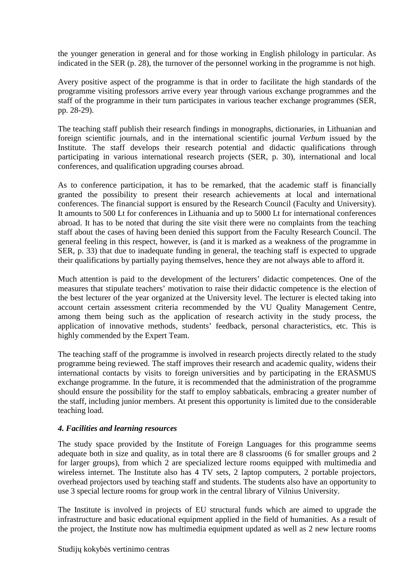the younger generation in general and for those working in English philology in particular. As indicated in the SER (p. 28), the turnover of the personnel working in the programme is not high.

Avery positive aspect of the programme is that in order to facilitate the high standards of the programme visiting professors arrive every year through various exchange programmes and the staff of the programme in their turn participates in various teacher exchange programmes (SER, pp. 28-29).

The teaching staff publish their research findings in monographs, dictionaries, in Lithuanian and foreign scientific journals, and in the international scientific journal *Verbum* issued by the Institute. The staff develops their research potential and didactic qualifications through participating in various international research projects (SER, p. 30), international and local conferences, and qualification upgrading courses abroad.

As to conference participation, it has to be remarked, that the academic staff is financially granted the possibility to present their research achievements at local and international conferences. The financial support is ensured by the Research Council (Faculty and University). It amounts to 500 Lt for conferences in Lithuania and up to 5000 Lt for international conferences abroad. It has to be noted that during the site visit there were no complaints from the teaching staff about the cases of having been denied this support from the Faculty Research Council. The general feeling in this respect, however, is (and it is marked as a weakness of the programme in SER, p. 33) that due to inadequate funding in general, the teaching staff is expected to upgrade their qualifications by partially paying themselves, hence they are not always able to afford it.

Much attention is paid to the development of the lecturers' didactic competences. One of the measures that stipulate teachers' motivation to raise their didactic competence is the election of the best lecturer of the year organized at the University level. The lecturer is elected taking into account certain assessment criteria recommended by the VU Quality Management Centre, among them being such as the application of research activity in the study process, the application of innovative methods, students' feedback, personal characteristics, etc. This is highly commended by the Expert Team.

The teaching staff of the programme is involved in research projects directly related to the study programme being reviewed. The staff improves their research and academic quality, widens their international contacts by visits to foreign universities and by participating in the ERASMUS exchange programme. In the future, it is recommended that the administration of the programme should ensure the possibility for the staff to employ sabbaticals, embracing a greater number of the staff, including junior members. At present this opportunity is limited due to the considerable teaching load.

#### *4. Facilities and learning resources*

The study space provided by the Institute of Foreign Languages for this programme seems adequate both in size and quality, as in total there are 8 classrooms (6 for smaller groups and 2 for larger groups), from which 2 are specialized lecture rooms equipped with multimedia and wireless internet. The Institute also has 4 TV sets, 2 laptop computers, 2 portable projectors, overhead projectors used by teaching staff and students. The students also have an opportunity to use 3 special lecture rooms for group work in the central library of Vilnius University.

The Institute is involved in projects of EU structural funds which are aimed to upgrade the infrastructure and basic educational equipment applied in the field of humanities. As a result of the project, the Institute now has multimedia equipment updated as well as 2 new lecture rooms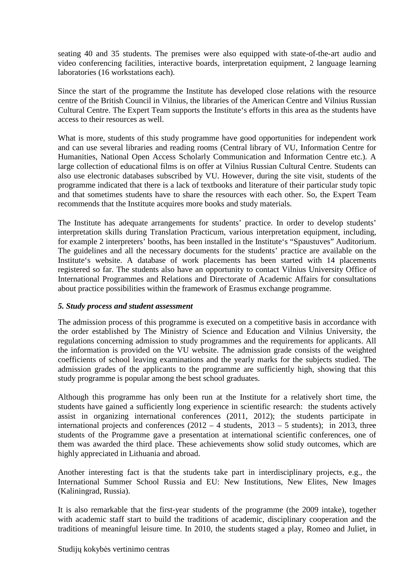seating 40 and 35 students. The premises were also equipped with state-of-the-art audio and video conferencing facilities, interactive boards, interpretation equipment, 2 language learning laboratories (16 workstations each).

Since the start of the programme the Institute has developed close relations with the resource centre of the British Council in Vilnius, the libraries of the American Centre and Vilnius Russian Cultural Centre. The Expert Team supports the Institute's efforts in this area as the students have access to their resources as well.

What is more, students of this study programme have good opportunities for independent work and can use several libraries and reading rooms (Central library of VU, Information Centre for Humanities, National Open Access Scholarly Communication and Information Centre etc.). A large collection of educational films is on offer at Vilnius Russian Cultural Centre. Students can also use electronic databases subscribed by VU. However, during the site visit, students of the programme indicated that there is a lack of textbooks and literature of their particular study topic and that sometimes students have to share the resources with each other. So, the Expert Team recommends that the Institute acquires more books and study materials.

The Institute has adequate arrangements for students' practice. In order to develop students' interpretation skills during Translation Practicum, various interpretation equipment, including, for example 2 interpreters' booths, has been installed in the Institute's "Spaustuves" Auditorium. The guidelines and all the necessary documents for the students' practice are available on the Institute's website. A database of work placements has been started with 14 placements registered so far. The students also have an opportunity to contact Vilnius University Office of International Programmes and Relations and Directorate of Academic Affairs for consultations about practice possibilities within the framework of Erasmus exchange programme.

#### *5. Study process and student assessment*

The admission process of this programme is executed on a competitive basis in accordance with the order established by The Ministry of Science and Education and Vilnius University, the regulations concerning admission to study programmes and the requirements for applicants. All the information is provided on the VU website. The admission grade consists of the weighted coefficients of school leaving examinations and the yearly marks for the subjects studied. The admission grades of the applicants to the programme are sufficiently high, showing that this study programme is popular among the best school graduates.

Although this programme has only been run at the Institute for a relatively short time, the students have gained a sufficiently long experience in scientific research: the students actively assist in organizing international conferences (2011, 2012); the students participate in international projects and conferences  $(2012 - 4$  students,  $2013 - 5$  students); in 2013, three students of the Programme gave a presentation at international scientific conferences, one of them was awarded the third place. These achievements show solid study outcomes, which are highly appreciated in Lithuania and abroad.

Another interesting fact is that the students take part in interdisciplinary projects, e.g., the International Summer School Russia and EU: New Institutions, New Elites, New Images (Kaliningrad, Russia).

It is also remarkable that the first-year students of the programme (the 2009 intake), together with academic staff start to build the traditions of academic, disciplinary cooperation and the traditions of meaningful leisure time. In 2010, the students staged a play, Romeo and Juliet, in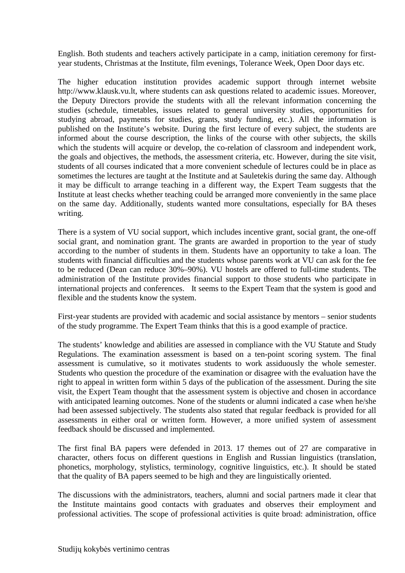English. Both students and teachers actively participate in a camp, initiation ceremony for firstyear students, Christmas at the Institute, film evenings, Tolerance Week, Open Door days etc.

The higher education institution provides academic support through internet website http://www.klausk.vu.lt, where students can ask questions related to academic issues. Moreover, the Deputy Directors provide the students with all the relevant information concerning the studies (schedule, timetables, issues related to general university studies, opportunities for studying abroad, payments for studies, grants, study funding, etc.). All the information is published on the Institute's website. During the first lecture of every subject, the students are informed about the course description, the links of the course with other subjects, the skills which the students will acquire or develop, the co-relation of classroom and independent work, the goals and objectives, the methods, the assessment criteria, etc. However, during the site visit, students of all courses indicated that a more convenient schedule of lectures could be in place as sometimes the lectures are taught at the Institute and at Sauletekis during the same day. Although it may be difficult to arrange teaching in a different way, the Expert Team suggests that the Institute at least checks whether teaching could be arranged more conveniently in the same place on the same day. Additionally, students wanted more consultations, especially for BA theses writing.

There is a system of VU social support, which includes incentive grant, social grant, the one-off social grant, and nomination grant. The grants are awarded in proportion to the year of study according to the number of students in them. Students have an opportunity to take a loan. The students with financial difficulties and the students whose parents work at VU can ask for the fee to be reduced (Dean can reduce 30%–90%). VU hostels are offered to full-time students. The administration of the Institute provides financial support to those students who participate in international projects and conferences. It seems to the Expert Team that the system is good and flexible and the students know the system.

First-year students are provided with academic and social assistance by mentors – senior students of the study programme. The Expert Team thinks that this is a good example of practice.

The students' knowledge and abilities are assessed in compliance with the VU Statute and Study Regulations. The examination assessment is based on a ten-point scoring system. The final assessment is cumulative, so it motivates students to work assiduously the whole semester. Students who question the procedure of the examination or disagree with the evaluation have the right to appeal in written form within 5 days of the publication of the assessment. During the site visit, the Expert Team thought that the assessment system is objective and chosen in accordance with anticipated learning outcomes. None of the students or alumni indicated a case when he/she had been assessed subjectively. The students also stated that regular feedback is provided for all assessments in either oral or written form. However, a more unified system of assessment feedback should be discussed and implemented.

The first final BA papers were defended in 2013. 17 themes out of 27 are comparative in character, others focus on different questions in English and Russian linguistics (translation, phonetics, morphology, stylistics, terminology, cognitive linguistics, etc.). It should be stated that the quality of BA papers seemed to be high and they are linguistically oriented.

The discussions with the administrators, teachers, alumni and social partners made it clear that the Institute maintains good contacts with graduates and observes their employment and professional activities. The scope of professional activities is quite broad: administration, office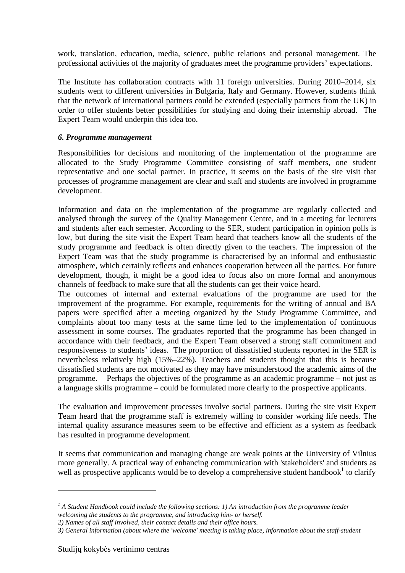work, translation, education, media, science, public relations and personal management. The professional activities of the majority of graduates meet the programme providers' expectations.

The Institute has collaboration contracts with 11 foreign universities. During 2010–2014, six students went to different universities in Bulgaria, Italy and Germany. However, students think that the network of international partners could be extended (especially partners from the UK) in order to offer students better possibilities for studying and doing their internship abroad. The Expert Team would underpin this idea too.

#### *6. Programme management*

Responsibilities for decisions and monitoring of the implementation of the programme are allocated to the Study Programme Committee consisting of staff members, one student representative and one social partner. In practice, it seems on the basis of the site visit that processes of programme management are clear and staff and students are involved in programme development.

Information and data on the implementation of the programme are regularly collected and analysed through the survey of the Quality Management Centre, and in a meeting for lecturers and students after each semester. According to the SER, student participation in opinion polls is low, but during the site visit the Expert Team heard that teachers know all the students of the study programme and feedback is often directly given to the teachers. The impression of the Expert Team was that the study programme is characterised by an informal and enthusiastic atmosphere, which certainly reflects and enhances cooperation between all the parties. For future development, though, it might be a good idea to focus also on more formal and anonymous channels of feedback to make sure that all the students can get their voice heard.

The outcomes of internal and external evaluations of the programme are used for the improvement of the programme. For example, requirements for the writing of annual and BA papers were specified after a meeting organized by the Study Programme Committee, and complaints about too many tests at the same time led to the implementation of continuous assessment in some courses. The graduates reported that the programme has been changed in accordance with their feedback, and the Expert Team observed a strong staff commitment and responsiveness to students' ideas. The proportion of dissatisfied students reported in the SER is nevertheless relatively high (15%–22%). Teachers and students thought that this is because dissatisfied students are not motivated as they may have misunderstood the academic aims of the programme. Perhaps the objectives of the programme as an academic programme – not just as a language skills programme – could be formulated more clearly to the prospective applicants.

The evaluation and improvement processes involve social partners. During the site visit Expert Team heard that the programme staff is extremely willing to consider working life needs. The internal quality assurance measures seem to be effective and efficient as a system as feedback has resulted in programme development.

It seems that communication and managing change are weak points at the University of Vilnius more generally. A practical way of enhancing communication with 'stakeholders' and students as well as prospective applicants would be to develop a comprehensive student handbook<sup>1</sup> to clarify

 $\overline{a}$ 

<sup>&</sup>lt;sup>1</sup> A Student Handbook could include the following sections: 1) An introduction from the programme leader *welcoming the students to the programme, and introducing him- or herself.* 

*<sup>2)</sup> Names of all staff involved, their contact details and their office hours.* 

*<sup>3)</sup> General information (about where the 'welcome' meeting is taking place, information about the staff-student*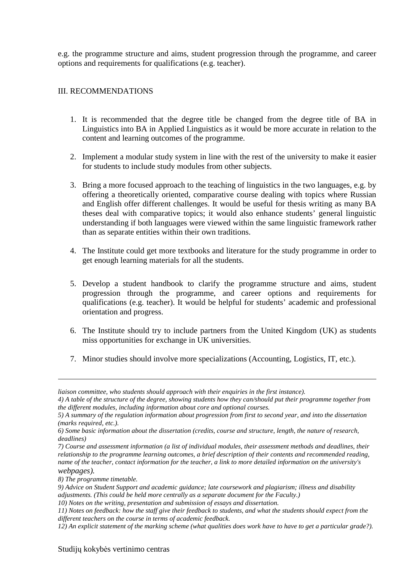e.g. the programme structure and aims, student progression through the programme, and career options and requirements for qualifications (e.g. teacher).

#### III. RECOMMENDATIONS

- 1. It is recommended that the degree title be changed from the degree title of BA in Linguistics into BA in Applied Linguistics as it would be more accurate in relation to the content and learning outcomes of the programme.
- 2. Implement a modular study system in line with the rest of the university to make it easier for students to include study modules from other subjects.
- 3. Bring a more focused approach to the teaching of linguistics in the two languages, e.g. by offering a theoretically oriented, comparative course dealing with topics where Russian and English offer different challenges. It would be useful for thesis writing as many BA theses deal with comparative topics; it would also enhance students' general linguistic understanding if both languages were viewed within the same linguistic framework rather than as separate entities within their own traditions.
- 4. The Institute could get more textbooks and literature for the study programme in order to get enough learning materials for all the students.
- 5. Develop a student handbook to clarify the programme structure and aims, student progression through the programme, and career options and requirements for qualifications (e.g. teacher). It would be helpful for students' academic and professional orientation and progress.
- 6. The Institute should try to include partners from the United Kingdom (UK) as students miss opportunities for exchange in UK universities.
- 7. Minor studies should involve more specializations (Accounting, Logistics, IT, etc.).

*8) The programme timetable.* 

<u>.</u>

*10) Notes on the writing, presentation and submission of essays and dissertation.* 

*liaison committee, who students should approach with their enquiries in the first instance).* 

*<sup>4)</sup> A table of the structure of the degree, showing students how they can/should put their programme together from the different modules, including information about core and optional courses.* 

*<sup>5)</sup> A summary of the regulation information about progression from first to second year, and into the dissertation (marks required, etc.).* 

*<sup>6)</sup> Some basic information about the dissertation (credits, course and structure, length, the nature of research, deadlines)*

*<sup>7)</sup> Course and assessment information (a list of individual modules, their assessment methods and deadlines, their relationship to the programme learning outcomes, a brief description of their contents and recommended reading, name of the teacher, contact information for the teacher, a link to more detailed information on the university's webpages).* 

*<sup>9)</sup> Advice on Student Support and academic guidance; late coursework and plagiarism; illness and disability adjustments. (This could be held more centrally as a separate document for the Faculty.)* 

*<sup>11)</sup> Notes on feedback: how the staff give their feedback to students, and what the students should expect from the different teachers on the course in terms of academic feedback.* 

*<sup>12)</sup> An explicit statement of the marking scheme (what qualities does work have to have to get a particular grade?).*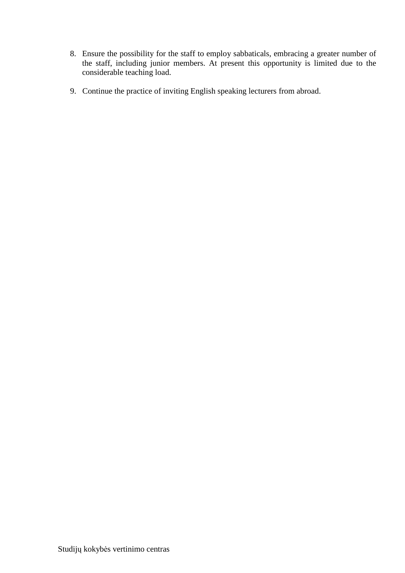- 8. Ensure the possibility for the staff to employ sabbaticals, embracing a greater number of the staff, including junior members. At present this opportunity is limited due to the considerable teaching load.
- 9. Continue the practice of inviting English speaking lecturers from abroad.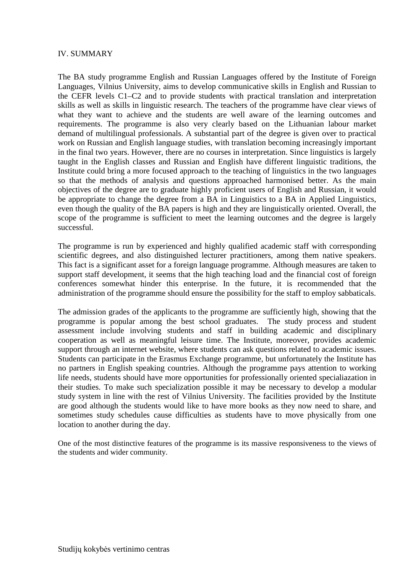#### IV. SUMMARY

The BA study programme English and Russian Languages offered by the Institute of Foreign Languages, Vilnius University, aims to develop communicative skills in English and Russian to the CEFR levels C1–C2 and to provide students with practical translation and interpretation skills as well as skills in linguistic research. The teachers of the programme have clear views of what they want to achieve and the students are well aware of the learning outcomes and requirements. The programme is also very clearly based on the Lithuanian labour market demand of multilingual professionals. A substantial part of the degree is given over to practical work on Russian and English language studies, with translation becoming increasingly important in the final two years. However, there are no courses in interpretation. Since linguistics is largely taught in the English classes and Russian and English have different linguistic traditions, the Institute could bring a more focused approach to the teaching of linguistics in the two languages so that the methods of analysis and questions approached harmonised better. As the main objectives of the degree are to graduate highly proficient users of English and Russian, it would be appropriate to change the degree from a BA in Linguistics to a BA in Applied Linguistics, even though the quality of the BA papers is high and they are linguistically oriented. Overall, the scope of the programme is sufficient to meet the learning outcomes and the degree is largely successful.

The programme is run by experienced and highly qualified academic staff with corresponding scientific degrees, and also distinguished lecturer practitioners, among them native speakers. This fact is a significant asset for a foreign language programme. Although measures are taken to support staff development, it seems that the high teaching load and the financial cost of foreign conferences somewhat hinder this enterprise. In the future, it is recommended that the administration of the programme should ensure the possibility for the staff to employ sabbaticals.

The admission grades of the applicants to the programme are sufficiently high, showing that the programme is popular among the best school graduates. The study process and student assessment include involving students and staff in building academic and disciplinary cooperation as well as meaningful leisure time. The Institute, moreover, provides academic support through an internet website, where students can ask questions related to academic issues. Students can participate in the Erasmus Exchange programme, but unfortunately the Institute has no partners in English speaking countries. Although the programme pays attention to working life needs, students should have more opportunities for professionally oriented specialiazation in their studies. To make such specialization possible it may be necessary to develop a modular study system in line with the rest of Vilnius University. The facilities provided by the Institute are good although the students would like to have more books as they now need to share, and sometimes study schedules cause difficulties as students have to move physically from one location to another during the day.

One of the most distinctive features of the programme is its massive responsiveness to the views of the students and wider community.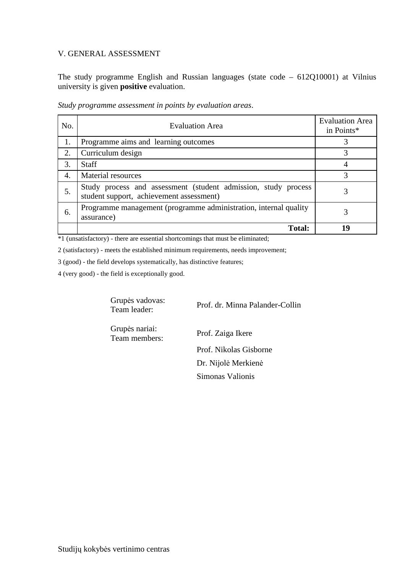#### V. GENERAL ASSESSMENT

The study programme English and Russian languages (state code – 612Q10001) at Vilnius university is given **positive** evaluation.

| No.              | <b>Evaluation Area</b>                                                                                     | <b>Evaluation Area</b><br>in Points* |
|------------------|------------------------------------------------------------------------------------------------------------|--------------------------------------|
| 1.               | Programme aims and learning outcomes                                                                       |                                      |
| 2.               | Curriculum design                                                                                          | 3                                    |
| 3.               | <b>Staff</b>                                                                                               |                                      |
| $\overline{4}$ . | Material resources                                                                                         |                                      |
| 5.               | Study process and assessment (student admission, study process<br>student support, achievement assessment) |                                      |
| 6.               | Programme management (programme administration, internal quality<br>assurance)                             |                                      |
|                  | <b>Total:</b>                                                                                              | 19                                   |

*Study programme assessment in points by evaluation areas*.

\*1 (unsatisfactory) - there are essential shortcomings that must be eliminated;

2 (satisfactory) - meets the established minimum requirements, needs improvement;

3 (good) - the field develops systematically, has distinctive features;

4 (very good) - the field is exceptionally good.

Grupės vadovas:<br>Team leader:

Prof. dr. Minna Palander-Collin

Grupės nariai:<br>Team members:

Prof. Zaiga Ikere Prof. Nikolas Gisborne Dr. Nijolė Merkienė Simonas Valionis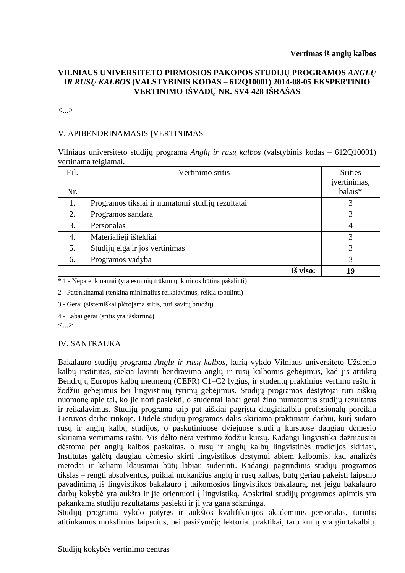#### **VILNIAUS UNIVERSITETO PIRMOSIOS PAKOPOS STUDIJŲ PROGRAMOS** *ANGLŲ IR RUSŲ KALBOS* **(VALSTYBINIS KODAS – 612Q10001) 2014-08-05 EKSPERTINIO VERTINIMO IŠVADŲ NR. SV4-428 IŠRAŠAS**

<...>

#### V. APIBENDRINAMASIS ĮVERTINIMAS

Vilniaus universiteto studijų programa *Anglų ir rusų kalbos* (valstybinis kodas – 612Q10001) vertinama teigiamai.

| Eil. | Vertinimo sritis                                 | <b>Srities</b><br>įvertinimas, |
|------|--------------------------------------------------|--------------------------------|
| Nr.  |                                                  | balais*                        |
| 1.   | Programos tikslai ir numatomi studijų rezultatai | 3                              |
| 2.   | Programos sandara                                | 3                              |
| 3.   | Personalas                                       | 4                              |
| 4.   | Materialieji ištekliai                           | 3                              |
| 5.   | Studijų eiga ir jos vertinimas                   | 3                              |
| 6.   | Programos vadyba                                 | 3                              |
|      | Iš viso:                                         | 19                             |

\* 1 - Nepatenkinamai (yra esminių trūkumų, kuriuos būtina pašalinti)

2 - Patenkinamai (tenkina minimalius reikalavimus, reikia tobulinti)

3 - Gerai (sistemiškai plėtojama sritis, turi savitų bruožų)

4 - Labai gerai (sritis yra išskirtinė)

<...>

#### IV. SANTRAUKA

Bakalauro studijų programa *Anglų ir rusų kalbos*, kurią vykdo Vilniaus universiteto Užsienio kalbų institutas, siekia lavinti bendravimo anglų ir rusų kalbomis gebėjimus, kad jis atitiktų Bendrųjų Europos kalbų metmenų (CEFR) C1–C2 lygius, ir studentų praktinius vertimo raštu ir žodžiu gebėjimus bei lingvistinių tyrimų gebėjimus. Studijų programos dėstytojai turi aiškią nuomonę apie tai, ko jie nori pasiekti, o studentai labai gerai žino numatomus studijų rezultatus ir reikalavimus. Studijų programa taip pat aiškiai pagrįsta daugiakalbių profesionalų poreikiu Lietuvos darbo rinkoje. Didelė studijų programos dalis skiriama praktiniam darbui, kurį sudaro rusų ir anglų kalbų studijos, o paskutiniuose dviejuose studijų kursuose daugiau dėmesio skiriama vertimams raštu. Vis dėlto nėra vertimo žodžiu kursų. Kadangi lingvistika dažniausiai dėstoma per anglų kalbos paskaitas, o rusų ir anglų kalbų lingvistinės tradicijos skiriasi, Institutas galėtų daugiau dėmesio skirti lingvistikos dėstymui abiem kalbomis, kad analizės metodai ir keliami klausimai būtų labiau suderinti. Kadangi pagrindinis studijų programos tikslas – rengti absolventus, puikiai mokančius anglų ir rusų kalbas, būtų geriau pakeisti laipsnio pavadinimą iš lingvistikos bakalauro į taikomosios lingvistikos bakalaurą, net jeigu bakalauro darbų kokybė yra aukšta ir jie orientuoti į lingvistiką. Apskritai studijų programos apimtis yra pakankama studijų rezultatams pasiekti ir ji yra gana sėkminga.

Studijų programą vykdo patyręs ir aukštos kvalifikacijos akademinis personalas, turintis atitinkamus mokslinius laipsnius, bei pasižymėję lektoriai praktikai, tarp kurių yra gimtakalbių.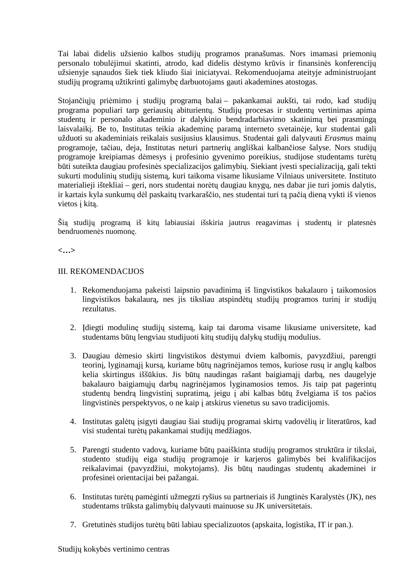Tai labai didelis užsienio kalbos studijų programos pranašumas. Nors imamasi priemonių personalo tobulėjimui skatinti, atrodo, kad didelis dėstymo krūvis ir finansinės konferencijų užsienyje sąnaudos šiek tiek kliudo šiai iniciatyvai. Rekomenduojama ateityje administruojant studijų programą užtikrinti galimybę darbuotojams gauti akademines atostogas.

Stojančiųjų priėmimo į studijų programą balai – pakankamai aukšti, tai rodo, kad studijų programa populiari tarp geriausių abiturientų. Studijų procesas ir studentų vertinimas apima studentų ir personalo akademinio ir dalykinio bendradarbiavimo skatinimą bei prasmingą laisvalaikį. Be to, Institutas teikia akademinę paramą interneto svetainėje, kur studentai gali užduoti su akademiniais reikalais susijusius klausimus. Studentai gali dalyvauti *Erasmus* mainų programoje, tačiau, deja, Institutas neturi partnerių angliškai kalbančiose šalyse. Nors studijų programoje kreipiamas dėmesys į profesinio gyvenimo poreikius, studijose studentams turėtų būti suteikta daugiau profesinės specializacijos galimybių. Siekiant įvesti specializaciją, gali tekti sukurti modulinių studijų sistemą, kuri taikoma visame likusiame Vilniaus universitete. Instituto materialieji ištekliai – geri, nors studentai norėtų daugiau knygų, nes dabar jie turi jomis dalytis, ir kartais kyla sunkumų dėl paskaitų tvarkaraščio, nes studentai turi tą pačią dieną vykti iš vienos vietos į kitą.

Šią studijų programą iš kitų labiausiai išskiria jautrus reagavimas į studentų ir platesnės bendruomenės nuomonę.

#### **<…>**

#### III. REKOMENDACIJOS

- 1. Rekomenduojama pakeisti laipsnio pavadinimą iš lingvistikos bakalauro į taikomosios lingvistikos bakalaurą, nes jis tiksliau atspindėtų studijų programos turinį ir studijų rezultatus.
- 2. Įdiegti modulinę studijų sistemą, kaip tai daroma visame likusiame universitete, kad studentams būtų lengviau studijuoti kitų studijų dalykų studijų modulius.
- 3. Daugiau dėmesio skirti lingvistikos dėstymui dviem kalbomis, pavyzdžiui, parengti teorinį, lyginamąjį kursą, kuriame būtų nagrinėjamos temos, kuriose rusų ir anglų kalbos kelia skirtingus iššūkius. Jis būtų naudingas rašant baigiamąjį darbą, nes daugelyje bakalauro baigiamųjų darbų nagrinėjamos lyginamosios temos. Jis taip pat pagerintų studentų bendrą lingvistinį supratimą, jeigu į abi kalbas būtų žvelgiama iš tos pačios lingvistinės perspektyvos, o ne kaip į atskirus vienetus su savo tradicijomis.
- 4. Institutas galėtų įsigyti daugiau šiai studijų programai skirtų vadovėlių ir literatūros, kad visi studentai turėtų pakankamai studijų medžiagos.
- 5. Parengti studento vadovą, kuriame būtų paaiškinta studijų programos struktūra ir tikslai, studento studijų eiga studijų programoje ir karjeros galimybės bei kvalifikacijos reikalavimai (pavyzdžiui, mokytojams). Jis būtų naudingas studentų akademinei ir profesinei orientacijai bei pažangai.
- 6. Institutas turėtų pamėginti užmegzti ryšius su partneriais iš Jungtinės Karalystės (JK), nes studentams trūksta galimybių dalyvauti mainuose su JK universitetais.
- 7. Gretutinės studijos turėtų būti labiau specializuotos (apskaita, logistika, IT ir pan.).